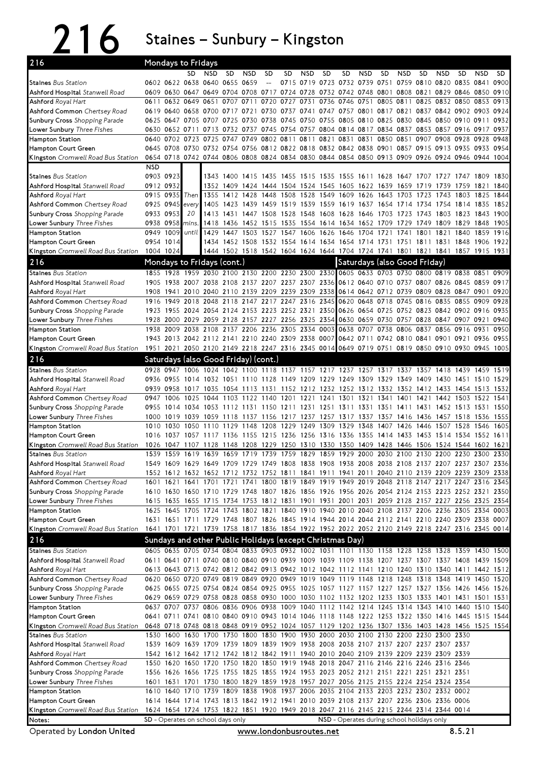216 Staines – Sunbury – Kingston

| 216                                                                                                                     | Mondays to Fridays         |                |                                          |              |           |            |                                      |           |           |      |                                                                                                |      |           |      |                        |            |           |              |              |
|-------------------------------------------------------------------------------------------------------------------------|----------------------------|----------------|------------------------------------------|--------------|-----------|------------|--------------------------------------|-----------|-----------|------|------------------------------------------------------------------------------------------------|------|-----------|------|------------------------|------------|-----------|--------------|--------------|
|                                                                                                                         |                            |                | SD.                                      | <b>NSD</b>   | <b>SD</b> | <b>NSD</b> | <b>SD</b>                            | SD        | NSD       | SD   | <b>SD</b>                                                                                      | NSD  | SD        | NSD  | SD                     | <b>NSD</b> | SD        | <b>NSD</b>   | SD.          |
| <b>Staines</b> Bus Station                                                                                              |                            |                | 0602 0622 0638 0640 0655 0659            |              |           |            | $\overline{\phantom{a}}$             |           |           |      | 0715 0719 0723 0732 0739 0751 0759 0810 0820 0835 0841                                         |      |           |      |                        |            |           |              | 0900         |
| Ashford Hospital Stanwell Road                                                                                          |                            |                |                                          |              |           |            |                                      |           |           |      | 0609 0630 0647 0649 0704 0708 0717 0724 0728 0732 0742 0748 0801 0808 0821 0829 0846 0850      |      |           |      |                        |            |           |              | 0910         |
| Ashford Royal Hart                                                                                                      |                            | 0611 0632 0649 |                                          | 0651         | 0707      | 0711       | 0720                                 | 0727      | 0731 0736 |      | 0746                                                                                           | 0751 | 0805 0811 |      | 0825                   | 0832 0850  |           | 0853         | 0913         |
| Ashford Common Chertsey Road                                                                                            |                            |                |                                          |              |           |            |                                      |           |           |      | 0619 0640 0658 0700 0717 0721 0730 0737 0741 0747 0757 0801 0817 0821 0837 0842 0902 0903 0924 |      |           |      |                        |            |           |              |              |
| <b>Sunbury Cross</b> Shopping Parade                                                                                    |                            |                | 0625 0647 0705 0707 0725                 |              |           |            |                                      |           |           |      | 0730 0738 0745 0750 0755 0805 0810 0825 0830 0845 0850 0910 0911                               |      |           |      |                        |            |           |              | 0932         |
| <b>Lower Sunbury</b> Three Fishes                                                                                       |                            |                |                                          |              |           |            |                                      |           |           |      | 0630 0652 0711 0713 0732 0737 0745 0754 0757 0804 0814 0817 0834 0837 0853 0857 0916 0917      |      |           |      |                        |            |           |              | 0937         |
| Hampton Station                                                                                                         |                            | 0640 0702      | 0723 0725                                |              |           |            |                                      |           |           |      | 0747 0749 0802 0811 0811 0821 0831 0831 0850 0851 0907 0908 0928 0928                          |      |           |      |                        |            |           |              | 0948         |
| Hampton Court Green                                                                                                     |                            |                |                                          |              |           |            |                                      |           |           |      | 0645 0708 0730 0732 0754 0756 0812 0822 0818 0832 0842 0838 0901 0857 0915 0913 0935 0933 0954 |      |           |      |                        |            |           |              |              |
| Kingston Cromwell Road Bus Station                                                                                      |                            |                |                                          |              |           |            |                                      |           |           |      | 0654 0718 0742 0744 0806 0808 0824 0834 0830 0844 0854 0850 0913 0909 0926 0924 0946 0944 1004 |      |           |      |                        |            |           |              |              |
|                                                                                                                         | <b>NSD</b>                 |                |                                          |              |           |            |                                      |           |           |      |                                                                                                |      |           |      |                        |            |           |              |              |
| <b>Staines</b> Bus Station                                                                                              |                            | 0903 0923      |                                          |              |           |            |                                      |           |           |      | 1343 1400 1415 1435 1455 1515 1535 1555 1611 1628 1647 1707 1727 1747 1809                     |      |           |      |                        |            |           |              | 1830         |
| Ashford Hospital Stanwell Road                                                                                          | 0912 0932                  |                | Then                                     |              |           |            |                                      |           |           |      | 1352 1409 1424 1444 1504 1524 1545 1605 1622 1639 1659 1719 1739                               |      |           |      |                        |            | 1759 1821 |              | 1840         |
| Ashford Royal Hart                                                                                                      | 0915 0935                  | 0925 0945      |                                          | 1355<br>1405 | 1412 1428 |            | 1448                                 | 1508      | 1528      |      | 1549 1609 1626<br>1423 1439 1459 1519 1539 1559 1619 1637 1654 1714                            |      | 1643 1703 |      | 1723<br>1734 1754 1814 | 1743       | 1803      | 1825<br>1835 | 1844<br>1852 |
| Ashford Common Chertsey Road<br>Sunbury Cross Shopping Parade                                                           | 0933 0953                  |                | every<br>20                              |              |           |            |                                      |           |           |      | 1413 1431 1447 1508 1528 1548 1608 1628 1646 1703 1723 1743 1803 1823 1843                     |      |           |      |                        |            |           |              | 1900         |
| <b>Lower Sunbury</b> Three Fishes                                                                                       | 0938 0958                  |                | mins.                                    |              |           |            |                                      |           |           |      | 1418 1436 1452 1515 1535 1554 1614 1634 1652 1709 1729 1749 1809 1829 1848                     |      |           |      |                        |            |           |              | 1905         |
| Hampton Station                                                                                                         | 0949                       | 1009           | until                                    | 1429         |           |            |                                      |           |           |      | 1447 1503 1527 1547 1606 1626 1646 1704 1721                                                   |      |           | 1741 | 1801                   | 1821       | 1840      | 1859         | 1916         |
| Hampton Court Green                                                                                                     |                            | 0954 1014      |                                          |              |           |            |                                      |           |           |      | 1434 1452 1508 1532 1554 1614 1634 1654 1714 1731 1751 1811 1831 1848 1906                     |      |           |      |                        |            |           |              | 1922         |
| Kingston Cromwell Road Bus Station                                                                                      | 1004 1024                  |                |                                          |              |           |            |                                      |           |           |      | 1444 1502 1518 1542 1604 1624 1644 1704 1724 1741 1801 1821 1841 1857 1915 1931                |      |           |      |                        |            |           |              |              |
|                                                                                                                         |                            |                |                                          |              |           |            |                                      |           |           |      |                                                                                                |      |           |      |                        |            |           |              |              |
| 216                                                                                                                     | Mondays to Fridays (cont.) |                |                                          |              |           |            |                                      |           |           |      | Saturdays (also Good Friday)                                                                   |      |           |      |                        |            |           |              |              |
| Staines Bus Station                                                                                                     |                            |                |                                          |              |           |            |                                      |           |           |      | 1855 1928 1959 2030 2100 2130 2200 2230 2300 2330 0605 0633 0703 0730 0800 0819 0838 0851 0909 |      |           |      |                        |            |           |              |              |
| Ashford Hospital Stanwell Road                                                                                          |                            |                |                                          |              |           |            |                                      |           |           |      | 1905 1938 2007 2038 2108 2137 2207 2237 2307 2336 0612 0640 0710 0737 0807 0826 0845 0859 0917 |      |           |      |                        |            |           |              |              |
| <b>Ashford</b> Royal Hart                                                                                               | 1908                       | 1941           |                                          |              |           |            |                                      |           |           |      | 2010 2040 2110 2139 2209 2239 2309 2338 0614 0642 0712 0739 0809 0828 0847 0901                |      |           |      |                        |            |           |              | 0920         |
| Ashford Common Chertsey Road                                                                                            | 1916                       |                |                                          |              |           |            |                                      |           |           |      | 1949 2018 2048 2118 2147 2217 2247 2316 2345 0620 0648 0718 0745 0816 0835 0855 0909           |      |           |      |                        |            |           |              | 0928         |
| <b>Sunbury Cross</b> Shopping Parade                                                                                    |                            |                |                                          |              |           |            |                                      |           |           |      | 1923 1955 2024 2054 2124 2153 2223 2252 2321 2350 0626 0654 0725 0752 0823 0842 0902 0916      |      |           |      |                        |            |           |              | 0935         |
| <b>Lower Sunbury</b> Three Fishes                                                                                       | 1928                       |                |                                          |              |           |            |                                      |           |           |      | 2000 2029 2059 2128 2157 2227 2256 2325 2354 0630 0659 0730 0757 0828 0847 0907 0921           |      |           |      |                        |            |           |              | 0940         |
| Hampton Station                                                                                                         | 1938                       | 2009           | 2038 2108                                |              |           |            |                                      |           |           |      | 2137 2206 2236 2305 2334 0003 0638 0707 0738 0806 0837 0856 0916 0931                          |      |           |      |                        |            |           |              | 0950         |
| Hampton Court Green                                                                                                     |                            |                |                                          |              |           |            |                                      |           |           |      | 1943 2013 2042 2112 2141 2210 2240 2309 2338 0007 0642 0711 0742 0810 0841 0901 0921 0936 0955 |      |           |      |                        |            |           |              |              |
| Kingston Cromwell Road Bus Station                                                                                      |                            |                |                                          |              |           |            |                                      |           |           |      | 1951 2021 2050 2120 2149 2218 2247 2316 2345 0014 0649 0719 0751 0819 0850 0910 0930 0945 1005 |      |           |      |                        |            |           |              |              |
| 216                                                                                                                     |                            |                |                                          |              |           |            | Saturdays (also Good Friday) (cont.) |           |           |      |                                                                                                |      |           |      |                        |            |           |              |              |
| <b>Staines</b> Bus Station                                                                                              |                            |                |                                          |              |           |            |                                      |           |           |      | 0928 0947 1006 1024 1042 1100 1118 1137 1157 1217 1237 1257 1317 1337 1357 1418 1439 1459 1519 |      |           |      |                        |            |           |              |              |
| Ashford Hospital Stanwell Road                                                                                          |                            | 0936 0955      |                                          |              |           |            |                                      |           |           |      | 1014 1032 1051 1110 1128 1149 1209 1229 1249 1309 1329 1349 1409 1430 1451 1510                |      |           |      |                        |            |           |              | 1529         |
| <b>Ashford</b> Royal Hart                                                                                               |                            | 0939 0958      | 1017 1035                                |              |           |            |                                      |           |           |      | 1054 1113 1131 1152 1212 1232 1252 1312 1332 1352 1412 1433 1454 1513                          |      |           |      |                        |            |           |              | 1532         |
| Ashford Common Chertsey Road                                                                                            | 0947                       | 1006           | 1025                                     | 1044         | 1103      | 1122 1140  |                                      | 1201 1221 |           |      | 1241 1301 1321                                                                                 |      | 1341      | 1401 | 1421                   | 1442       | 1503 1522 |              | 1541         |
| Sunbury Cross Shopping Parade                                                                                           |                            |                |                                          |              |           |            |                                      |           |           |      | 0955 1014 1034 1053 1112 1131 1150 1211 1231 1251 1311 1331 1351 1411 1431 1452 1513 1531      |      |           |      |                        |            |           |              | 1550         |
| Lower Sunbury Three Fishes                                                                                              | 1000                       | 1019           | 1039                                     |              |           |            |                                      |           |           |      | 1059 1118 1137 1156 1217 1237 1257 1317 1337                                                   |      | 1357 1416 |      | 1436 1457 1518         |            |           | 1536         | 1555         |
| <b>Hampton Station</b>                                                                                                  | 1010                       | 1030           | 1050                                     | 1110         | 1129      | 1148       | 1208                                 | 1229      | 1249      | 1309 | 1329                                                                                           | 1348 | 1407      | 1426 | 1446                   | 1507       | 1528      | 1546         | 1605         |
| Hampton Court Green                                                                                                     | 1016                       |                |                                          |              |           |            |                                      |           |           |      | 1037 1057 1117 1136 1155 1215 1236 1256 1316 1336 1355 1414 1433 1453 1514 1534 1552 1611      |      |           |      |                        |            |           |              |              |
| Kingston Cromwell Road Bus Station                                                                                      | 1026                       |                |                                          |              |           |            |                                      |           |           |      | 1047 1107 1128 1148 1208 1229 1250 1310 1330 1350 1409 1428 1446 1506 1524 1544 1602           |      |           |      |                        |            |           |              | 1621         |
| <b>Staines Bus Station</b>                                                                                              |                            |                |                                          |              |           |            |                                      |           |           |      | 1539 1559 1619 1639 1659 1719 1739 1759 1829 1859 1929 2000 2030 2100 2130 2200 2230 2300      |      |           |      |                        |            |           |              | 2330         |
| Ashford Hospital Stanwell Road                                                                                          |                            |                |                                          |              |           |            |                                      |           |           |      | 1549 1609 1629 1649 1709 1729 1749 1808 1838 1908 1938 2008 2038 2108 2137 2207 2237 2307 2336 |      |           |      |                        |            |           |              |              |
| Ashford Royal Hart                                                                                                      |                            |                |                                          |              |           |            |                                      |           |           |      | 1552 1612 1632 1652 1712 1732 1752 1811 1841 1911 1941 2011 2040 2110 2139 2209 2239 2309 2338 |      |           |      |                        |            |           |              |              |
| Ashford Common Chertsey Road                                                                                            |                            |                |                                          |              |           |            |                                      |           |           |      | 1601 1621 1641 1701 1721 1741 1800 1819 1849 1919 1949 2019 2048 2118 2147 2217 2247 2316 2345 |      |           |      |                        |            |           |              |              |
| Sunbury Cross Shopping Parade                                                                                           |                            |                |                                          |              |           |            |                                      |           |           |      | 1610 1630 1650 1710 1729 1748 1807 1826 1856 1926 1956 2026 2054 2124 2153 2223 2252 2321 2350 |      |           |      |                        |            |           |              |              |
| L <b>ower Sunbury</b> Three Fishes                                                                                      |                            |                |                                          |              |           |            |                                      |           |           |      | 1615 1635 1655 1715 1734 1753 1812 1831 1901 1931 2001 2031 2059 2128 2157 2227 2256 2325 2354 |      |           |      |                        |            |           |              |              |
| Hampton Station                                                                                                         |                            |                |                                          |              |           |            |                                      |           |           |      | 1625 1645 1705 1724 1743 1802 1821 1840 1910 1940 2010 2040 2108 2137 2206 2236 2305 2334 0003 |      |           |      |                        |            |           |              |              |
| Hampton Court Green                                                                                                     |                            |                |                                          |              |           |            |                                      |           |           |      | 1631 1651 1711 1729 1748 1807 1826 1845 1914 1944 2014 2044 2112 2141 2210 2240 2309 2338 0007 |      |           |      |                        |            |           |              |              |
| <b>Kingston</b> Cromwell Road Bus Station                                                                               |                            |                |                                          |              |           |            |                                      |           |           |      | 1641 1701 1721 1739 1758 1817 1836 1854 1922 1952 2022 2052 2120 2149 2218 2247 2316 2345 0014 |      |           |      |                        |            |           |              |              |
| 216                                                                                                                     |                            |                |                                          |              |           |            |                                      |           |           |      | Sundays and other Public Holidays (except Christmas Day)                                       |      |           |      |                        |            |           |              |              |
| Staines Bus Station                                                                                                     |                            |                |                                          |              |           |            |                                      |           |           |      | 0605 0635 0705 0734 0804 0833 0903 0932 1002 1031 1101 1130 1158 1228 1258 1328 1359 1430 1500 |      |           |      |                        |            |           |              |              |
| Ashford Hospital Stanwell Road                                                                                          |                            |                |                                          |              |           |            |                                      |           |           |      | 0611 0641 0711 0740 0810 0840 0910 0939 1009 1039 1109 1138 1207 1237 1307 1337 1408 1439 1509 |      |           |      |                        |            |           |              |              |
| <b>Ashford</b> Royal Hart                                                                                               |                            |                |                                          |              |           |            |                                      |           |           |      | 0613 0643 0713 0742 0812 0842 0913 0942 1012 1042 1112 1141 1210 1240 1310 1340 1411 1442 1512 |      |           |      |                        |            |           |              |              |
| Ashford Common Chertsey Road                                                                                            |                            |                |                                          |              |           |            |                                      |           |           |      | 0620 0650 0720 0749 0819 0849 0920 0949 1019 1049 1119 1148 1218 1248 1318 1348 1419 1450 1520 |      |           |      |                        |            |           |              |              |
| <b>Sunbury Cross</b> Shopping Parade                                                                                    |                            |                |                                          |              |           |            |                                      |           |           |      | 0625 0655 0725 0754 0824 0854 0925 0955 1025 1057 1127 1157 1227 1257 1327 1356 1426 1456 1526 |      |           |      |                        |            |           |              |              |
| <b>Lower Sunbury</b> Three Fishes                                                                                       |                            |                |                                          |              |           |            |                                      |           |           |      | 0629 0659 0729 0758 0828 0858 0930 1000 1030 1102 1132 1202 1233 1303 1333 1401 1431 1501 1531 |      |           |      |                        |            |           |              |              |
| Hampton Station                                                                                                         |                            |                |                                          |              |           |            |                                      |           |           |      | 0637 0707 0737 0806 0836 0906 0938 1009 1040 1112 1142 1214 1245 1314 1343 1410 1440 1510 1540 |      |           |      |                        |            |           |              |              |
| Hampton Court Green                                                                                                     |                            |                |                                          |              |           |            |                                      |           |           |      | 0641 0711 0741 0810 0840 0910 0943 1014 1046 1118 1148 1222 1253 1322 1350 1416 1445 1515 1544 |      |           |      |                        |            |           |              |              |
| <b>Kingston</b> Cromwell Road Bus Station                                                                               |                            |                |                                          |              |           |            |                                      |           |           |      | 0648 0718 0748 0818 0848 0919 0952 1024 1057 1129 1202 1236 1307 1336 1403 1428 1456 1525 1554 |      |           |      |                        |            |           |              |              |
| <b>Staines</b> Bus Station                                                                                              |                            |                |                                          |              |           |            |                                      |           |           |      | 1530 1600 1630 1700 1730 1800 1830 1900 1930 2000 2030 2100 2130 2200 2230 2300 2330           |      |           |      |                        |            |           |              |              |
| Ashford Hospital Stanwell Road                                                                                          |                            |                |                                          |              |           |            |                                      |           |           |      | 1539 1609 1639 1709 1739 1809 1839 1909 1938 2008 2038 2107 2137 2207 2237 2307 2337           |      |           |      |                        |            |           |              |              |
| <b>Ashford</b> Royal Hart                                                                                               |                            |                |                                          |              |           |            |                                      |           |           |      | 1542 1612 1642 1712 1742 1812 1842 1911 1940 2010 2040 2109 2139 2209 2239 2309 2339           |      |           |      |                        |            |           |              |              |
| Ashford Common Chertsey Road                                                                                            |                            |                |                                          |              |           |            |                                      |           |           |      | 1550 1620 1650 1720 1750 1820 1850 1919 1948 2018 2047 2116 2146 2216 2246 2316 2346           |      |           |      |                        |            |           |              |              |
| <b>Sunbury Cross</b> Shopping Parade                                                                                    |                            |                |                                          |              |           |            |                                      |           |           |      | 1556 1626 1656 1725 1755 1825 1855 1924 1953 2023 2052 2121 2151 2221 2251 2321 2351           |      |           |      |                        |            |           |              |              |
| <b>Lower Sunbury</b> Three Fishes                                                                                       |                            |                |                                          |              |           |            |                                      |           |           |      | 1601 1631 1701 1730 1800 1829 1859 1928 1957 2027 2056 2125 2155 2224 2254 2324 2354           |      |           |      |                        |            |           |              |              |
| Hampton Station                                                                                                         |                            |                |                                          |              |           |            |                                      |           |           |      | 1610 1640 1710 1739 1809 1838 1908 1937 2006 2035 2104 2133 2203 2232 2302 2332 0002           |      |           |      |                        |            |           |              |              |
| Hampton Court Green                                                                                                     |                            |                |                                          |              |           |            |                                      |           |           |      | 1614 1644 1714 1743 1813 1842 1912 1941 2010 2039 2108 2137 2207 2236 2306 2336 0006           |      |           |      |                        |            |           |              |              |
| Kingston Cromwell Road Bus Station 1624 1654 1724 1753 1822 1851 1920 1949 2018 2047 2116 2145 2215 2244 2314 2344 0014 |                            |                |                                          |              |           |            |                                      |           |           |      |                                                                                                |      |           |      |                        |            |           |              |              |
| Notes:                                                                                                                  |                            |                | <b>SD</b> - Operates on school days only |              |           |            |                                      |           |           |      | NSD - Operates during school holidays only                                                     |      |           |      |                        |            |           |              |              |

OperatedbyLondonUnited www.londonbusroutes.net 8.5.21